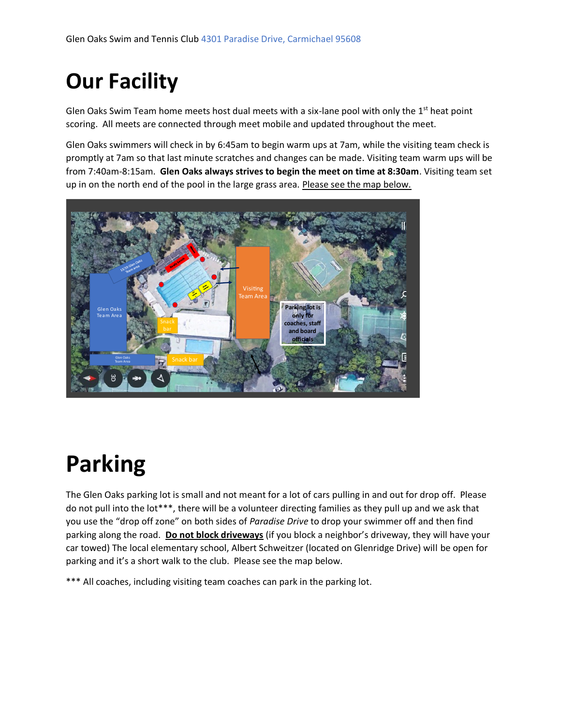## **Our Facility**

Glen Oaks Swim Team home meets host dual meets with a six-lane pool with only the  $1<sup>st</sup>$  heat point scoring. All meets are connected through meet mobile and updated throughout the meet.

Glen Oaks swimmers will check in by 6:45am to begin warm ups at 7am, while the visiting team check is promptly at 7am so that last minute scratches and changes can be made. Visiting team warm ups will be from 7:40am-8:15am. **Glen Oaks always strives to begin the meet on time at 8:30am**. Visiting team set up in on the north end of the pool in the large grass area. Please see the map below.



## **Parking**

The Glen Oaks parking lot is small and not meant for a lot of cars pulling in and out for drop off. Please do not pull into the lot\*\*\*, there will be a volunteer directing families as they pull up and we ask that you use the "drop off zone" on both sides of *Paradise Drive* to drop your swimmer off and then find parking along the road. **Do not block driveways** (if you block a neighbor's driveway, they will have your car towed) The local elementary school, Albert Schweitzer (located on Glenridge Drive) will be open for parking and it's a short walk to the club. Please see the map below.

All coaches, including visiting team coaches can park in the parking lot.